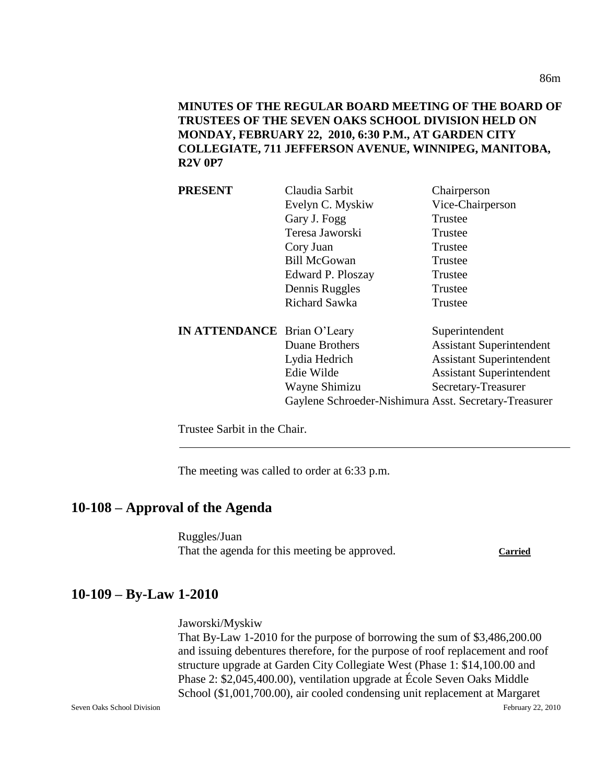**MINUTES OF THE REGULAR BOARD MEETING OF THE BOARD OF TRUSTEES OF THE SEVEN OAKS SCHOOL DIVISION HELD ON MONDAY, FEBRUARY 22, 2010, 6:30 P.M., AT GARDEN CITY COLLEGIATE, 711 JEFFERSON AVENUE, WINNIPEG, MANITOBA, R2V 0P7**

| <b>PRESENT</b>                     | Claudia Sarbit                                        | Chairperson                     |
|------------------------------------|-------------------------------------------------------|---------------------------------|
|                                    | Evelyn C. Myskiw                                      | Vice-Chairperson                |
|                                    | Gary J. Fogg                                          | Trustee                         |
|                                    | Teresa Jaworski                                       | Trustee                         |
|                                    | Cory Juan                                             | Trustee                         |
|                                    | <b>Bill McGowan</b>                                   | Trustee                         |
|                                    | Edward P. Ploszay                                     | Trustee                         |
|                                    | Dennis Ruggles                                        | Trustee                         |
|                                    | Richard Sawka                                         | Trustee                         |
| <b>IN ATTENDANCE</b> Brian O'Leary |                                                       | Superintendent                  |
|                                    | Duane Brothers                                        | <b>Assistant Superintendent</b> |
|                                    | Lydia Hedrich                                         | <b>Assistant Superintendent</b> |
|                                    | Edie Wilde                                            | <b>Assistant Superintendent</b> |
|                                    | Wayne Shimizu                                         | Secretary-Treasurer             |
|                                    | Gaylene Schroeder-Nishimura Asst. Secretary-Treasurer |                                 |

Trustee Sarbit in the Chair.

The meeting was called to order at 6:33 p.m.

## **10-108 – Approval of the Agenda**

Ruggles/Juan That the agenda for this meeting be approved. Carried

## **10-109 – By-Law 1-2010**

Jaworski/Myskiw

That By-Law 1-2010 for the purpose of borrowing the sum of \$3,486,200.00 and issuing debentures therefore, for the purpose of roof replacement and roof structure upgrade at Garden City Collegiate West (Phase 1: \$14,100.00 and Phase 2: \$2,045,400.00), ventilation upgrade at École Seven Oaks Middle School (\$1,001,700.00), air cooled condensing unit replacement at Margaret